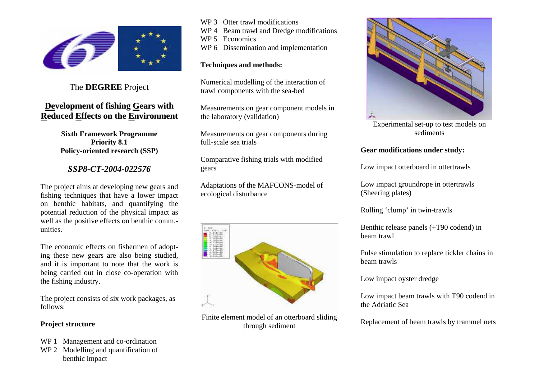

# The **DEGREE** Project

# **Development of fishing Gears withReduced Effects on the Environment**

#### **Sixth Framework Programme Priority 8.1 Policy-oriented research (SSP)**

## *SSP8-CT-2004-022576*

The project aims at developing new gears and fishing techniques that have a lower impact on benthic habitats, and quantifying the potential reduction of the physical impact as well as the positive effects on benthic comm.unities.

The economic effects on fishermen of adopting these new gears are also being studied, and it is important to note that the work is being carried out in close co-operation with the fishing industry.

The project consists of six work packages, as follows:

### **Project structure**

- WP 1 Management and co-ordination
- WP 2 Modelling and quantification of benthic impact
- WP 3 Otter trawl modifications
- WP 4 Beam trawl and Dredge modifications
- WP 5 Economics
- WP 6 Dissemination and implementation

### **Techniques and methods:**

Numerical modelling of the interaction of trawl components with the sea-bed

Measurements on gear component models in the laboratory (validation)

Measurements on gear components during full-scale sea trials

Comparative fishing trials with modified gears

Adaptations of the MAFCONS-model of ecological disturbance



Finite element model of an otterboard sliding through sediment



Experimental set-up to test models on sediments

## **Gear modifications under study:**

Low impact otterboard in ottertrawls

Low impact groundrope in ottertrawls (Sheering plates)

Rolling 'clump' in twin-trawls

Benthic release panels (+T90 codend) in beam trawl

Pulse stimulation to replace tickler chains in beam trawls

Low impact oyster dredge

Low impact beam trawls with T90 codend in the Adriatic Sea

Replacement of beam trawls by trammel nets